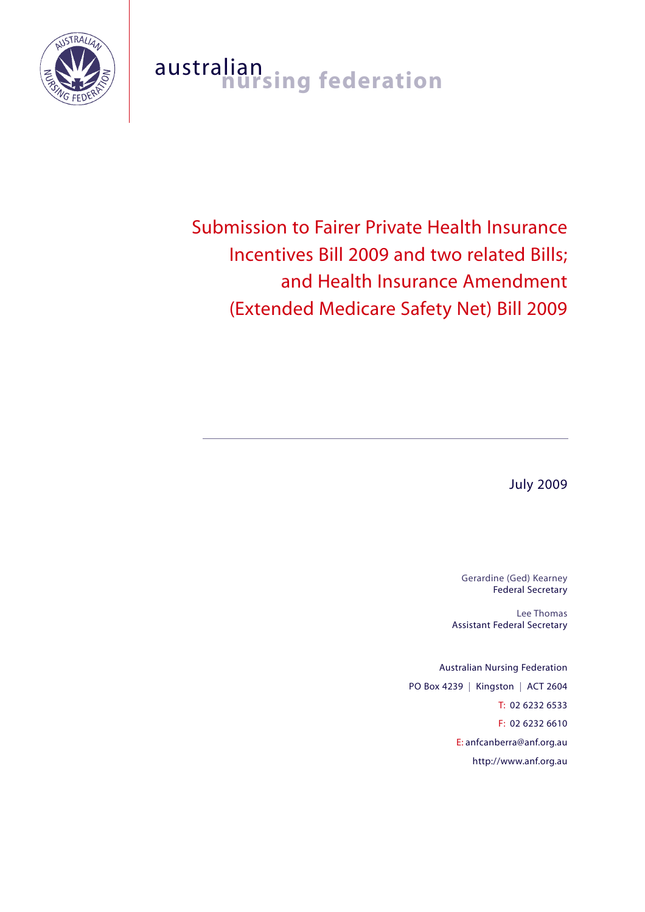

# australian<br>**nursing federation**

Submission to Fairer Private Health Insurance Incentives Bill 2009 and two related Bills; and Health Insurance Amendment (Extended Medicare Safety Net) Bill 2009

July 2009

Gerardine (Ged) Kearney Federal Secretary

Lee Thomas Assistant Federal Secretary

Australian Nursing Federation PO Box 4239 | Kingston | ACT 2604 T: 02 6232 6533 F: 02 6232 6610 E: anfcanberra@anf.org.au http://www.anf.org.au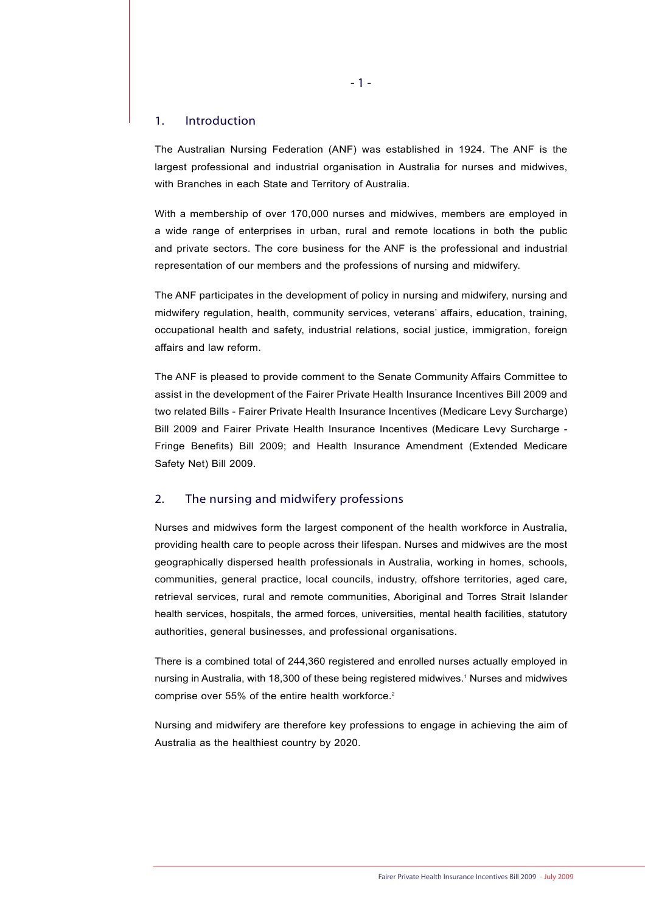# 1. Introduction

The Australian Nursing Federation (ANF) was established in 1924. The ANF is the largest professional and industrial organisation in Australia for nurses and midwives, with Branches in each State and Territory of Australia.

With a membership of over 170,000 nurses and midwives, members are employed in a wide range of enterprises in urban, rural and remote locations in both the public and private sectors. The core business for the ANF is the professional and industrial representation of our members and the professions of nursing and midwifery.

The ANF participates in the development of policy in nursing and midwifery, nursing and midwifery regulation, health, community services, veterans' affairs, education, training, occupational health and safety, industrial relations, social justice, immigration, foreign affairs and law reform.

The ANF is pleased to provide comment to the Senate Community Affairs Committee to assist in the development of the Fairer Private Health Insurance Incentives Bill 2009 and two related Bills - Fairer Private Health Insurance Incentives (Medicare Levy Surcharge) Bill 2009 and Fairer Private Health Insurance Incentives (Medicare Levy Surcharge - Fringe Benefits) Bill 2009; and Health Insurance Amendment (Extended Medicare Safety Net) Bill 2009.

# 2. The nursing and midwifery professions

Nurses and midwives form the largest component of the health workforce in Australia, providing health care to people across their lifespan. Nurses and midwives are the most geographically dispersed health professionals in Australia, working in homes, schools, communities, general practice, local councils, industry, offshore territories, aged care, retrieval services, rural and remote communities, Aboriginal and Torres Strait Islander health services, hospitals, the armed forces, universities, mental health facilities, statutory authorities, general businesses, and professional organisations.

There is a combined total of 244,360 registered and enrolled nurses actually employed in nursing in Australia, with 18,300 of these being registered midwives.<sup>1</sup> Nurses and midwives comprise over 55% of the entire health workforce.<sup>2</sup>

Nursing and midwifery are therefore key professions to engage in achieving the aim of Australia as the healthiest country by 2020.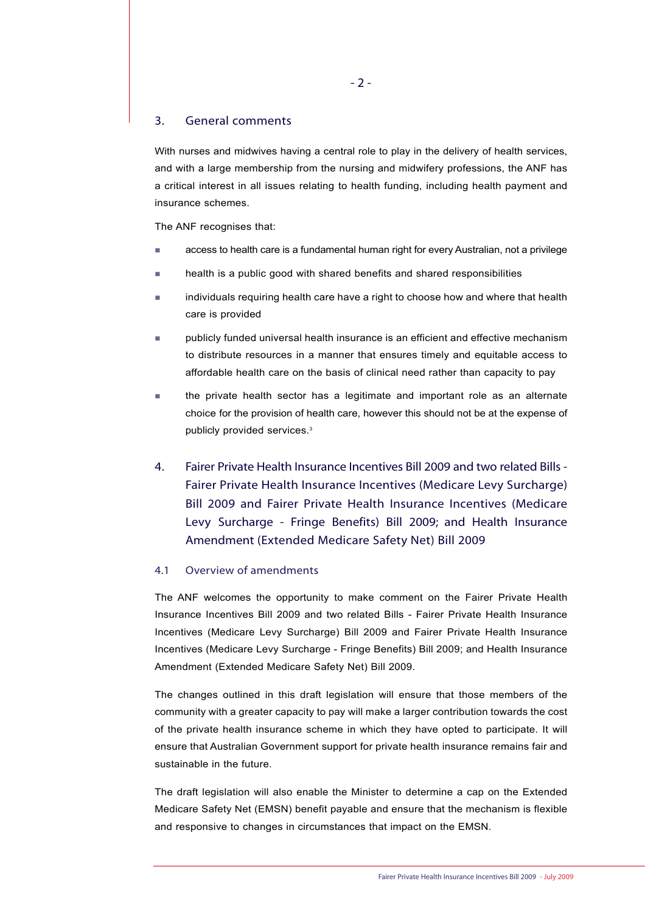# 3. General comments

With nurses and midwives having a central role to play in the delivery of health services. and with a large membership from the nursing and midwifery professions, the ANF has a critical interest in all issues relating to health funding, including health payment and insurance schemes.

The ANF recognises that:

- access to health care is a fundamental human right for every Australian, not a privilege
- health is a public good with shared benefits and shared responsibilities
- individuals requiring health care have a right to choose how and where that health care is provided
- publicly funded universal health insurance is an efficient and effective mechanism to distribute resources in a manner that ensures timely and equitable access to affordable health care on the basis of clinical need rather than capacity to pay
- the private health sector has a legitimate and important role as an alternate choice for the provision of health care, however this should not be at the expense of publicly provided services.3
- 4. Fairer Private Health Insurance Incentives Bill 2009 and two related Bills Fairer Private Health Insurance Incentives (Medicare Levy Surcharge) Bill 2009 and Fairer Private Health Insurance Incentives (Medicare Levy Surcharge - Fringe Benefits) Bill 2009; and Health Insurance Amendment (Extended Medicare Safety Net) Bill 2009

# 4.1 Overview of amendments

The ANF welcomes the opportunity to make comment on the Fairer Private Health Insurance Incentives Bill 2009 and two related Bills - Fairer Private Health Insurance Incentives (Medicare Levy Surcharge) Bill 2009 and Fairer Private Health Insurance Incentives (Medicare Levy Surcharge - Fringe Benefits) Bill 2009; and Health Insurance Amendment (Extended Medicare Safety Net) Bill 2009.

The changes outlined in this draft legislation will ensure that those members of the community with a greater capacity to pay will make a larger contribution towards the cost of the private health insurance scheme in which they have opted to participate. It will ensure that Australian Government support for private health insurance remains fair and sustainable in the future.

The draft legislation will also enable the Minister to determine a cap on the Extended Medicare Safety Net (EMSN) benefit payable and ensure that the mechanism is flexible and responsive to changes in circumstances that impact on the EMSN.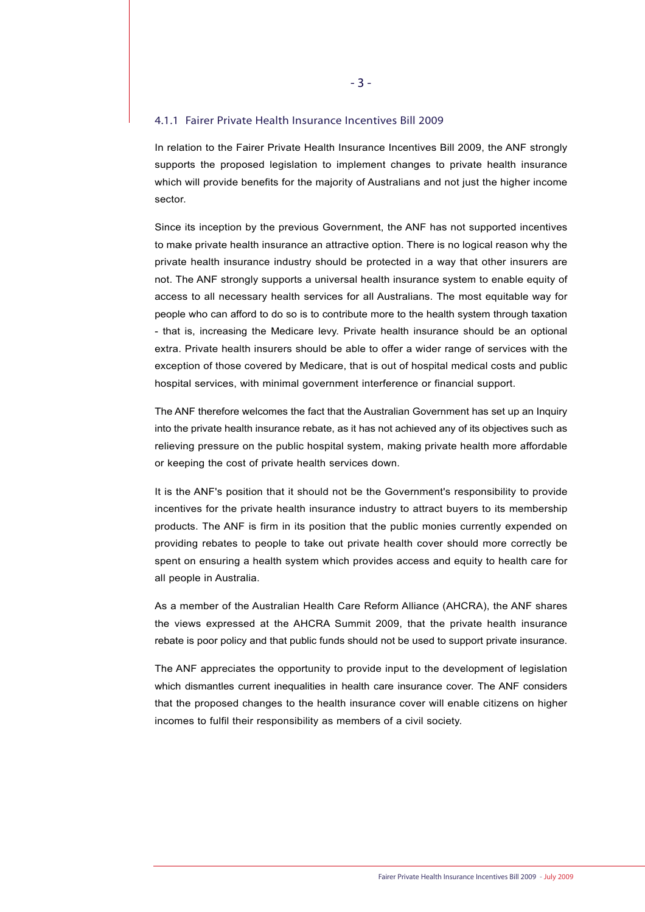### 4.1.1 Fairer Private Health Insurance Incentives Bill 2009

In relation to the Fairer Private Health Insurance Incentives Bill 2009, the ANF strongly supports the proposed legislation to implement changes to private health insurance which will provide benefits for the majority of Australians and not just the higher income sector.

Since its inception by the previous Government, the ANF has not supported incentives to make private health insurance an attractive option. There is no logical reason why the private health insurance industry should be protected in a way that other insurers are not. The ANF strongly supports a universal health insurance system to enable equity of access to all necessary health services for all Australians. The most equitable way for people who can afford to do so is to contribute more to the health system through taxation - that is, increasing the Medicare levy. Private health insurance should be an optional extra. Private health insurers should be able to offer a wider range of services with the exception of those covered by Medicare, that is out of hospital medical costs and public hospital services, with minimal government interference or financial support.

The ANF therefore welcomes the fact that the Australian Government has set up an Inquiry into the private health insurance rebate, as it has not achieved any of its objectives such as relieving pressure on the public hospital system, making private health more affordable or keeping the cost of private health services down.

It is the ANF's position that it should not be the Government's responsibility to provide incentives for the private health insurance industry to attract buyers to its membership products. The ANF is firm in its position that the public monies currently expended on providing rebates to people to take out private health cover should more correctly be spent on ensuring a health system which provides access and equity to health care for all people in Australia.

As a member of the Australian Health Care Reform Alliance (AHCRA), the ANF shares the views expressed at the AHCRA Summit 2009, that the private health insurance rebate is poor policy and that public funds should not be used to support private insurance.

The ANF appreciates the opportunity to provide input to the development of legislation which dismantles current inequalities in health care insurance cover. The ANF considers that the proposed changes to the health insurance cover will enable citizens on higher incomes to fulfil their responsibility as members of a civil society.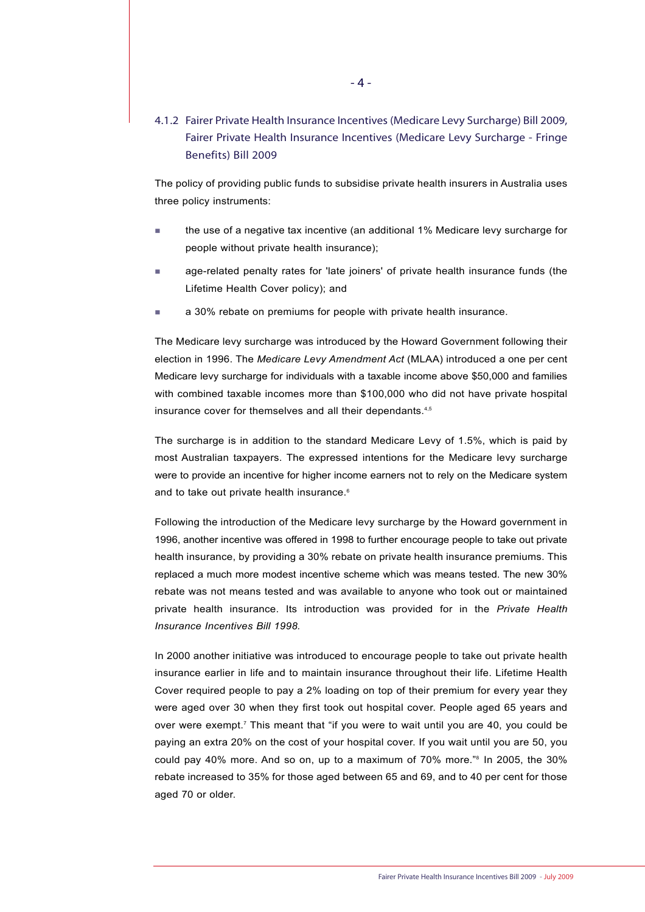# 4.1.2 Fairer Private Health Insurance Incentives (Medicare Levy Surcharge) Bill 2009, Fairer Private Health Insurance Incentives (Medicare Levy Surcharge - Fringe Benefits) Bill 2009

The policy of providing public funds to subsidise private health insurers in Australia uses three policy instruments:

- the use of a negative tax incentive (an additional 1% Medicare levy surcharge for people without private health insurance);
- age-related penalty rates for 'late joiners' of private health insurance funds (the Lifetime Health Cover policy); and
- **a** 30% rebate on premiums for people with private health insurance.

The Medicare levy surcharge was introduced by the Howard Government following their election in 1996. The *Medicare Levy Amendment Act* (MLAA) introduced a one per cent Medicare levy surcharge for individuals with a taxable income above \$50,000 and families with combined taxable incomes more than \$100,000 who did not have private hospital insurance cover for themselves and all their dependants.<sup>4,5</sup>

The surcharge is in addition to the standard Medicare Levy of 1.5%, which is paid by most Australian taxpayers. The expressed intentions for the Medicare levy surcharge were to provide an incentive for higher income earners not to rely on the Medicare system and to take out private health insurance.<sup>6</sup>

Following the introduction of the Medicare levy surcharge by the Howard government in 1996, another incentive was offered in 1998 to further encourage people to take out private health insurance, by providing a 30% rebate on private health insurance premiums. This replaced a much more modest incentive scheme which was means tested. The new 30% rebate was not means tested and was available to anyone who took out or maintained private health insurance. Its introduction was provided for in the *Private Health Insurance Incentives Bill 1998.* 

In 2000 another initiative was introduced to encourage people to take out private health insurance earlier in life and to maintain insurance throughout their life. Lifetime Health Cover required people to pay a 2% loading on top of their premium for every year they were aged over 30 when they first took out hospital cover. People aged 65 years and over were exempt.<sup>7</sup> This meant that "if you were to wait until you are 40, you could be paying an extra 20% on the cost of your hospital cover. If you wait until you are 50, you could pay 40% more. And so on, up to a maximum of 70% more."8 In 2005, the 30% rebate increased to 35% for those aged between 65 and 69, and to 40 per cent for those aged 70 or older.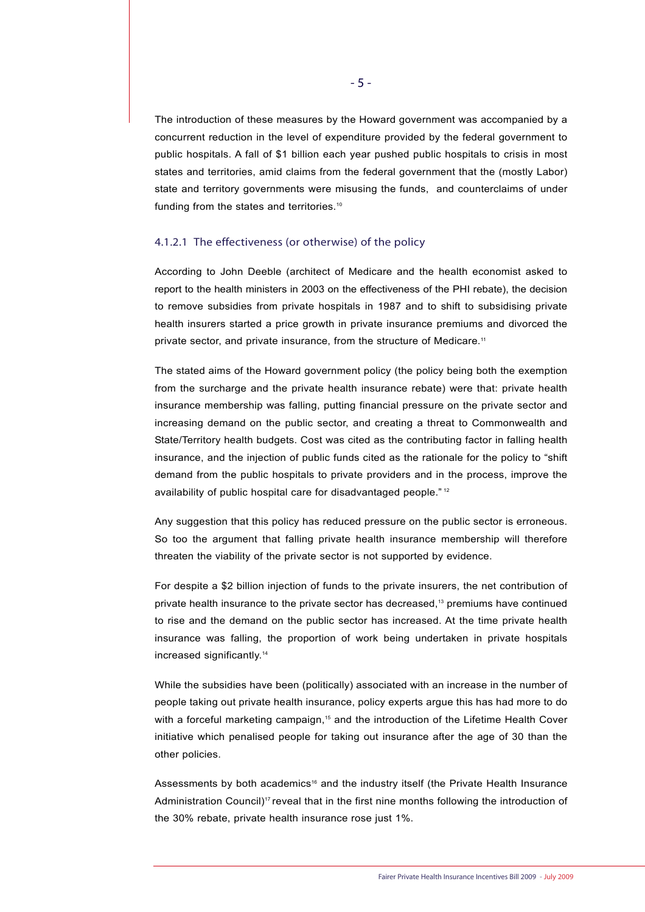The introduction of these measures by the Howard government was accompanied by a concurrent reduction in the level of expenditure provided by the federal government to public hospitals. A fall of \$1 billion each year pushed public hospitals to crisis in most states and territories, amid claims from the federal government that the (mostly Labor) state and territory governments were misusing the funds, and counterclaims of under funding from the states and territories.<sup>10</sup>

#### 4.1.2.1 The effectiveness (or otherwise) of the policy

According to John Deeble (architect of Medicare and the health economist asked to report to the health ministers in 2003 on the effectiveness of the PHI rebate), the decision to remove subsidies from private hospitals in 1987 and to shift to subsidising private health insurers started a price growth in private insurance premiums and divorced the private sector, and private insurance, from the structure of Medicare.<sup>11</sup>

The stated aims of the Howard government policy (the policy being both the exemption from the surcharge and the private health insurance rebate) were that: private health insurance membership was falling, putting financial pressure on the private sector and increasing demand on the public sector, and creating a threat to Commonwealth and State/Territory health budgets. Cost was cited as the contributing factor in falling health insurance, and the injection of public funds cited as the rationale for the policy to "shift demand from the public hospitals to private providers and in the process, improve the availability of public hospital care for disadvantaged people." <sup>12</sup>

Any suggestion that this policy has reduced pressure on the public sector is erroneous. So too the argument that falling private health insurance membership will therefore threaten the viability of the private sector is not supported by evidence.

For despite a \$2 billion injection of funds to the private insurers, the net contribution of private health insurance to the private sector has decreased,13 premiums have continued to rise and the demand on the public sector has increased. At the time private health insurance was falling, the proportion of work being undertaken in private hospitals increased significantly.14

While the subsidies have been (politically) associated with an increase in the number of people taking out private health insurance, policy experts argue this has had more to do with a forceful marketing campaign.<sup>15</sup> and the introduction of the Lifetime Health Cover initiative which penalised people for taking out insurance after the age of 30 than the other policies.

Assessments by both academics<sup>16</sup> and the industry itself (the Private Health Insurance Administration Council)<sup>17</sup> reveal that in the first nine months following the introduction of the 30% rebate, private health insurance rose just 1%.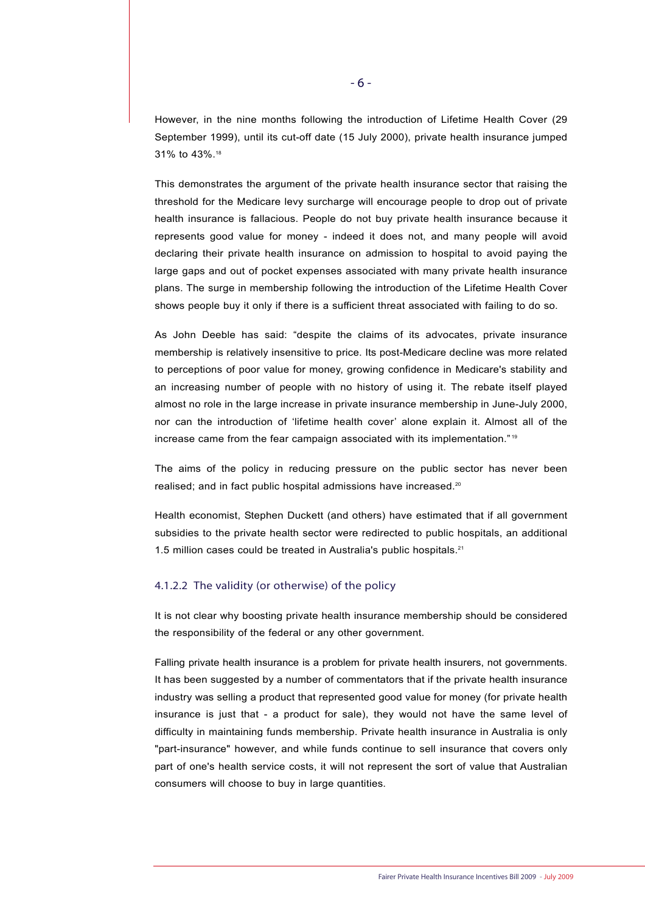However, in the nine months following the introduction of Lifetime Health Cover (29 September 1999), until its cut-off date (15 July 2000), private health insurance jumped 31% to 43%.18

This demonstrates the argument of the private health insurance sector that raising the threshold for the Medicare levy surcharge will encourage people to drop out of private health insurance is fallacious. People do not buy private health insurance because it represents good value for money - indeed it does not, and many people will avoid declaring their private health insurance on admission to hospital to avoid paying the large gaps and out of pocket expenses associated with many private health insurance plans. The surge in membership following the introduction of the Lifetime Health Cover shows people buy it only if there is a sufficient threat associated with failing to do so.

As John Deeble has said: "despite the claims of its advocates, private insurance membership is relatively insensitive to price. Its post-Medicare decline was more related to perceptions of poor value for money, growing confidence in Medicare's stability and an increasing number of people with no history of using it. The rebate itself played almost no role in the large increase in private insurance membership in June-July 2000, nor can the introduction of 'lifetime health cover' alone explain it. Almost all of the increase came from the fear campaign associated with its implementation." <sup>19</sup>

The aims of the policy in reducing pressure on the public sector has never been realised; and in fact public hospital admissions have increased.<sup>20</sup>

Health economist, Stephen Duckett (and others) have estimated that if all government subsidies to the private health sector were redirected to public hospitals, an additional 1.5 million cases could be treated in Australia's public hospitals.<sup>21</sup>

# 4.1.2.2 The validity (or otherwise) of the policy

It is not clear why boosting private health insurance membership should be considered the responsibility of the federal or any other government.

Falling private health insurance is a problem for private health insurers, not governments. It has been suggested by a number of commentators that if the private health insurance industry was selling a product that represented good value for money (for private health insurance is just that - a product for sale), they would not have the same level of difficulty in maintaining funds membership. Private health insurance in Australia is only "part-insurance" however, and while funds continue to sell insurance that covers only part of one's health service costs, it will not represent the sort of value that Australian consumers will choose to buy in large quantities.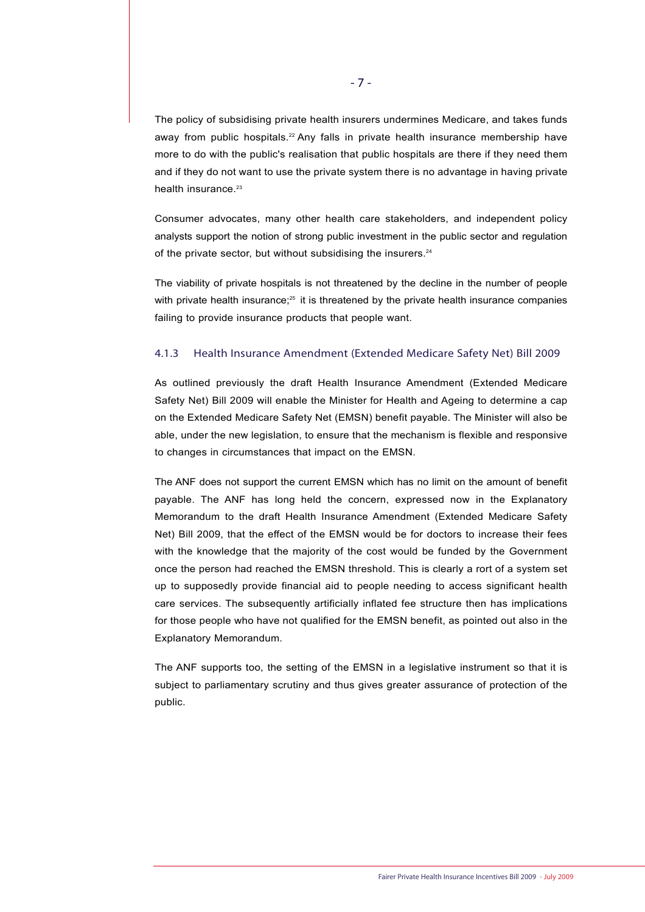The policy of subsidising private health insurers undermines Medicare, and takes funds away from public hospitals.<sup>22</sup> Any falls in private health insurance membership have more to do with the public's realisation that public hospitals are there if they need them and if they do not want to use the private system there is no advantage in having private health insurance.<sup>23</sup>

Consumer advocates, many other health care stakeholders, and independent policy analysts support the notion of strong public investment in the public sector and regulation of the private sector, but without subsidising the insurers.<sup>24</sup>

The viability of private hospitals is not threatened by the decline in the number of people with private health insurance; $25$  it is threatened by the private health insurance companies failing to provide insurance products that people want.

# 4.1.3 Health Insurance Amendment (Extended Medicare Safety Net) Bill 2009

As outlined previously the draft Health Insurance Amendment (Extended Medicare Safety Net) Bill 2009 will enable the Minister for Health and Ageing to determine a cap on the Extended Medicare Safety Net (EMSN) benefit payable. The Minister will also be able, under the new legislation, to ensure that the mechanism is flexible and responsive to changes in circumstances that impact on the EMSN.

The ANF does not support the current EMSN which has no limit on the amount of benefit payable. The ANF has long held the concern, expressed now in the Explanatory Memorandum to the draft Health Insurance Amendment (Extended Medicare Safety Net) Bill 2009, that the effect of the EMSN would be for doctors to increase their fees with the knowledge that the majority of the cost would be funded by the Government once the person had reached the EMSN threshold. This is clearly a rort of a system set up to supposedly provide financial aid to people needing to access significant health care services. The subsequently artificially inflated fee structure then has implications for those people who have not qualified for the EMSN benefit, as pointed out also in the Explanatory Memorandum.

The ANF supports too, the setting of the EMSN in a legislative instrument so that it is subject to parliamentary scrutiny and thus gives greater assurance of protection of the public.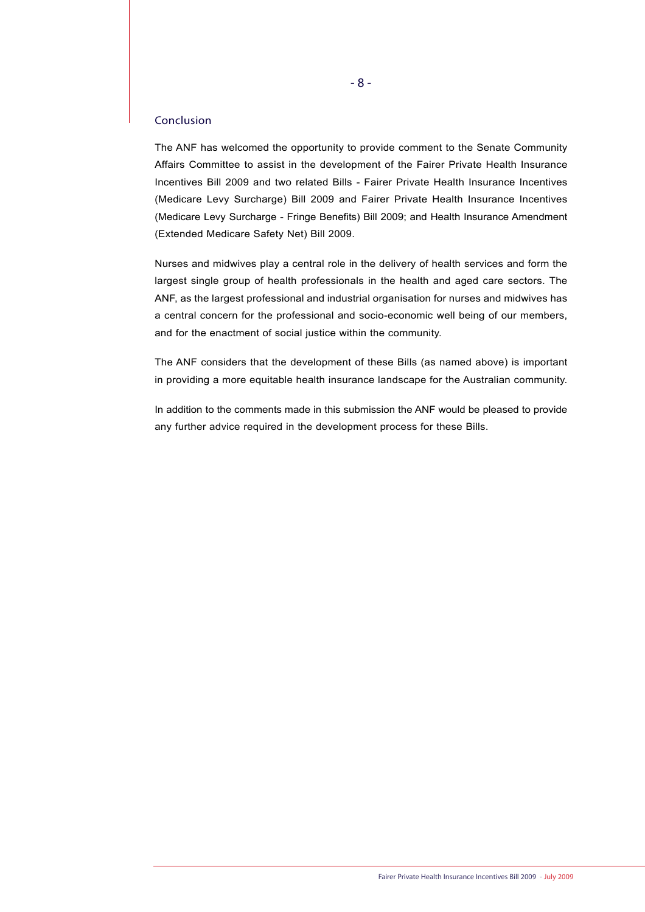# Conclusion

The ANF has welcomed the opportunity to provide comment to the Senate Community Affairs Committee to assist in the development of the Fairer Private Health Insurance Incentives Bill 2009 and two related Bills - Fairer Private Health Insurance Incentives (Medicare Levy Surcharge) Bill 2009 and Fairer Private Health Insurance Incentives (Medicare Levy Surcharge - Fringe Benefits) Bill 2009; and Health Insurance Amendment (Extended Medicare Safety Net) Bill 2009.

Nurses and midwives play a central role in the delivery of health services and form the largest single group of health professionals in the health and aged care sectors. The ANF, as the largest professional and industrial organisation for nurses and midwives has a central concern for the professional and socio-economic well being of our members, and for the enactment of social justice within the community.

The ANF considers that the development of these Bills (as named above) is important in providing a more equitable health insurance landscape for the Australian community.

In addition to the comments made in this submission the ANF would be pleased to provide any further advice required in the development process for these Bills.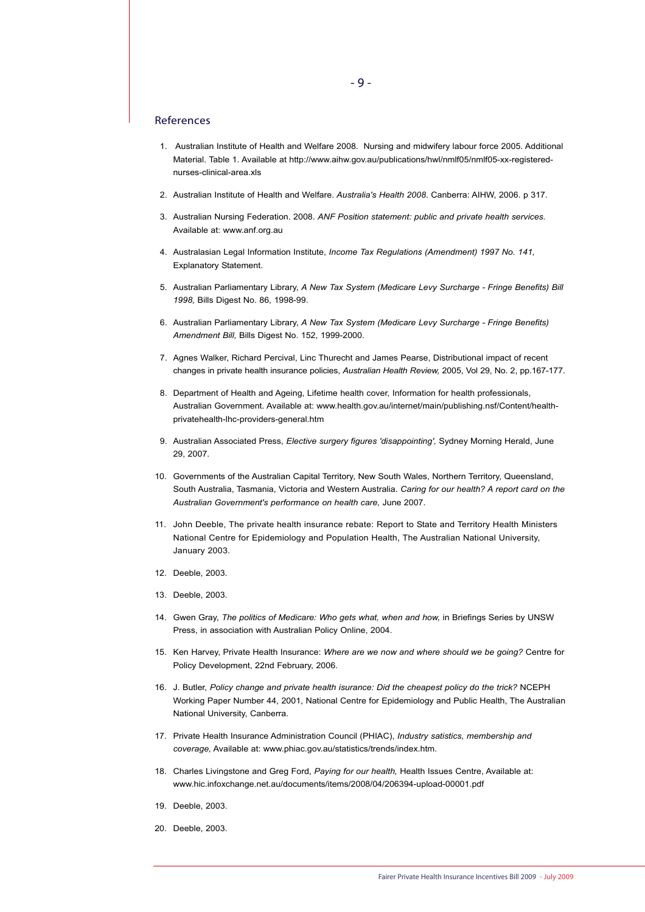#### References

- 1. Australian Institute of Health and Welfare 2008. Nursing and midwifery labour force 2005. Additional Material. Table 1. Available at http://www.aihw.gov.au/publications/hwl/nmlf05/nmlf05-xx-registerednurses-clinical-area.xls
- 2. Australian Institute of Health and Welfare. *Australia's Health 2008*. Canberra: AIHW, 2006. p 317.
- 3. Australian Nursing Federation. 2008. *ANF Position statement: public and private health services.* Available at: www.anf.org.au
- 4. Australasian Legal Information Institute, *Income Tax Regulations (Amendment) 1997 No. 141,* Explanatory Statement.
- 5. Australian Parliamentary Library, *A New Tax System (Medicare Levy Surcharge Fringe Benefits) Bill 1998,* Bills Digest No. 86, 1998-99.
- 6. Australian Parliamentary Library, *A New Tax System (Medicare Levy Surcharge Fringe Benefits) Amendment Bill,* Bills Digest No. 152, 1999-2000.
- 7. Agnes Walker, Richard Percival, Linc Thurecht and James Pearse, Distributional impact of recent changes in private health insurance policies, *Australian Health Review,* 2005, Vol 29, No. 2, pp.167-177.
- 8. Department of Health and Ageing, Lifetime health cover, Information for health professionals, Australian Government. Available at: www.health.gov.au/internet/main/publishing.nsf/Content/healthprivatehealth-lhc-providers-general.htm
- 9. Australian Associated Press, *Elective surgery figures 'disappointing',* Sydney Morning Herald, June 29, 2007.
- 10. Governments of the Australian Capital Territory, New South Wales, Northern Territory, Queensland, South Australia, Tasmania, Victoria and Western Australia. *Caring for our health? A report card on the Australian Government's performance on health care,* June 2007.
- 11. John Deeble, The private health insurance rebate: Report to State and Territory Health Ministers National Centre for Epidemiology and Population Health, The Australian National University, January 2003.
- 12. Deeble, 2003.
- 13. Deeble, 2003.
- 14. Gwen Gray, *The politics of Medicare: Who gets what, when and how,* in Briefings Series by UNSW Press, in association with Australian Policy Online, 2004.
- 15. Ken Harvey, Private Health Insurance: *Where are we now and where should we be going?* Centre for Policy Development, 22nd February, 2006.
- 16. J. Butler, *Policy change and private health isurance: Did the cheapest policy do the trick?* NCEPH Working Paper Number 44, 2001, National Centre for Epidemiology and Public Health, The Australian National University, Canberra.
- 17. Private Health Insurance Administration Council (PHIAC), *Industry satistics, membership and coverage,* Available at: www.phiac.gov.au/statistics/trends/index.htm.
- 18. Charles Livingstone and Greg Ford, *Paying for our health,* Health Issues Centre, Available at: www.hic.infoxchange.net.au/documents/items/2008/04/206394-upload-00001.pdf
- 19. Deeble, 2003.
- 20. Deeble, 2003.